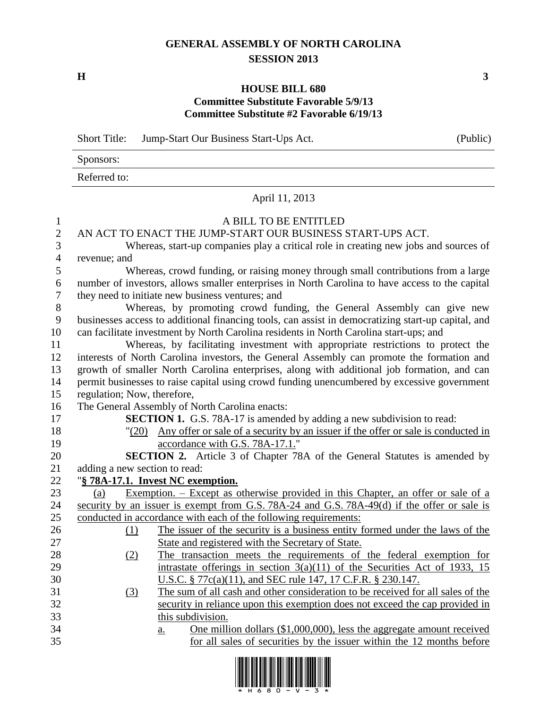## **GENERAL ASSEMBLY OF NORTH CAROLINA SESSION 2013**

**H 3**

## **HOUSE BILL 680 Committee Substitute Favorable 5/9/13 Committee Substitute #2 Favorable 6/19/13**

|                  | <b>Short Title:</b>                                                                                | Jump-Start Our Business Start-Ups Act.                                                          | (Public) |  |  |  |
|------------------|----------------------------------------------------------------------------------------------------|-------------------------------------------------------------------------------------------------|----------|--|--|--|
|                  | Sponsors:                                                                                          |                                                                                                 |          |  |  |  |
|                  | Referred to:                                                                                       |                                                                                                 |          |  |  |  |
|                  |                                                                                                    | April 11, 2013                                                                                  |          |  |  |  |
| $\mathbf{1}$     |                                                                                                    | A BILL TO BE ENTITLED                                                                           |          |  |  |  |
| $\mathbf{2}$     |                                                                                                    | AN ACT TO ENACT THE JUMP-START OUR BUSINESS START-UPS ACT.                                      |          |  |  |  |
| 3                |                                                                                                    | Whereas, start-up companies play a critical role in creating new jobs and sources of            |          |  |  |  |
| $\overline{4}$   | revenue; and                                                                                       |                                                                                                 |          |  |  |  |
| 5                |                                                                                                    | Whereas, crowd funding, or raising money through small contributions from a large               |          |  |  |  |
| 6                |                                                                                                    | number of investors, allows smaller enterprises in North Carolina to have access to the capital |          |  |  |  |
| $\tau$           |                                                                                                    | they need to initiate new business ventures; and                                                |          |  |  |  |
| $8\,$            | Whereas, by promoting crowd funding, the General Assembly can give new                             |                                                                                                 |          |  |  |  |
| $\boldsymbol{9}$ | businesses access to additional financing tools, can assist in democratizing start-up capital, and |                                                                                                 |          |  |  |  |
| 10               |                                                                                                    | can facilitate investment by North Carolina residents in North Carolina start-ups; and          |          |  |  |  |
| 11               |                                                                                                    | Whereas, by facilitating investment with appropriate restrictions to protect the                |          |  |  |  |
| 12               |                                                                                                    | interests of North Carolina investors, the General Assembly can promote the formation and       |          |  |  |  |
| 13               | growth of smaller North Carolina enterprises, along with additional job formation, and can         |                                                                                                 |          |  |  |  |
| 14               | permit businesses to raise capital using crowd funding unencumbered by excessive government        |                                                                                                 |          |  |  |  |
| 15               |                                                                                                    | regulation; Now, therefore,                                                                     |          |  |  |  |
| 16               |                                                                                                    | The General Assembly of North Carolina enacts:                                                  |          |  |  |  |
| 17               |                                                                                                    | SECTION 1. G.S. 78A-17 is amended by adding a new subdivision to read:                          |          |  |  |  |
| 18               |                                                                                                    | "(20) Any offer or sale of a security by an issuer if the offer or sale is conducted in         |          |  |  |  |
| 19               |                                                                                                    | accordance with G.S. 78A-17.1."                                                                 |          |  |  |  |
| 20               | <b>SECTION 2.</b> Article 3 of Chapter 78A of the General Statutes is amended by                   |                                                                                                 |          |  |  |  |
| 21               | adding a new section to read:                                                                      |                                                                                                 |          |  |  |  |
| 22               | "§ 78A-17.1. Invest NC exemption.                                                                  |                                                                                                 |          |  |  |  |
| 23               | (a)                                                                                                | <u>Exemption. – Except as otherwise provided in this Chapter, an offer or sale of a</u>         |          |  |  |  |
| 24               | security by an issuer is exempt from G.S. 78A-24 and G.S. 78A-49(d) if the offer or sale is        |                                                                                                 |          |  |  |  |
| 25               |                                                                                                    | conducted in accordance with each of the following requirements:                                |          |  |  |  |
| 26               | (1)                                                                                                | The issuer of the security is a business entity formed under the laws of the                    |          |  |  |  |
| 27               |                                                                                                    | State and registered with the Secretary of State.                                               |          |  |  |  |
| 28               | (2)                                                                                                | The transaction meets the requirements of the federal exemption for                             |          |  |  |  |
| 29               |                                                                                                    | intrastate offerings in section $3(a)(11)$ of the Securities Act of 1933, 15                    |          |  |  |  |
| 30               |                                                                                                    | U.S.C. § 77c(a)(11), and SEC rule 147, 17 C.F.R. § 230.147.                                     |          |  |  |  |
| 31               | $\left(3\right)$                                                                                   | The sum of all cash and other consideration to be received for all sales of the                 |          |  |  |  |
| 32               |                                                                                                    | security in reliance upon this exemption does not exceed the cap provided in                    |          |  |  |  |
| 33               | this subdivision.                                                                                  |                                                                                                 |          |  |  |  |
| 34               |                                                                                                    | One million dollars $(\$1,000,000)$ , less the aggregate amount received<br>a.                  |          |  |  |  |
| 35               |                                                                                                    | for all sales of securities by the issuer within the 12 months before                           |          |  |  |  |

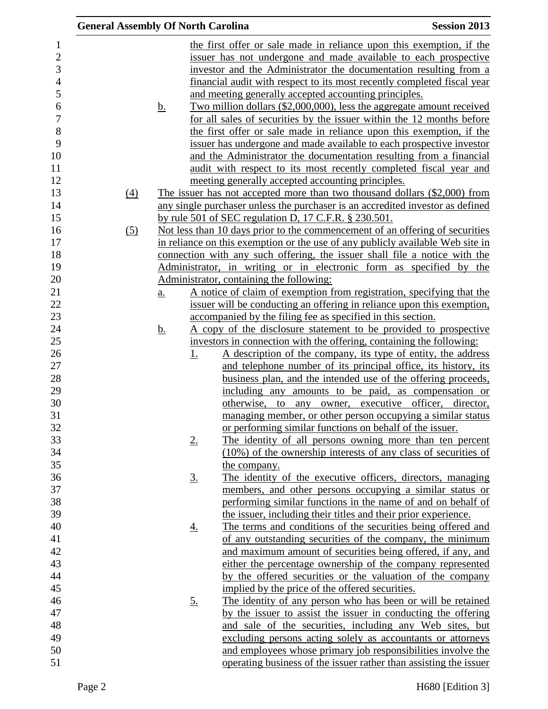| <b>General Assembly Of North Carolina</b> |                   |             |                                                             | <b>Session 2013</b>                                                                                                                                          |
|-------------------------------------------|-------------------|-------------|-------------------------------------------------------------|--------------------------------------------------------------------------------------------------------------------------------------------------------------|
|                                           |                   |             |                                                             | the first offer or sale made in reliance upon this exemption, if the<br>issuer has not undergone and made available to each prospective                      |
|                                           |                   |             |                                                             | investor and the Administrator the documentation resulting from a                                                                                            |
|                                           |                   |             |                                                             | financial audit with respect to its most recently completed fiscal year                                                                                      |
|                                           |                   |             | and meeting generally accepted accounting principles.       |                                                                                                                                                              |
|                                           | <u>b.</u>         |             |                                                             | Two million dollars (\$2,000,000), less the aggregate amount received                                                                                        |
|                                           |                   |             |                                                             | for all sales of securities by the issuer within the 12 months before                                                                                        |
|                                           |                   |             |                                                             | the first offer or sale made in reliance upon this exemption, if the                                                                                         |
|                                           |                   |             |                                                             | issuer has undergone and made available to each prospective investor                                                                                         |
|                                           |                   |             |                                                             | and the Administrator the documentation resulting from a financial                                                                                           |
|                                           |                   |             |                                                             | audit with respect to its most recently completed fiscal year and                                                                                            |
|                                           |                   |             | meeting generally accepted accounting principles.           |                                                                                                                                                              |
| (4)                                       |                   |             |                                                             | The issuer has not accepted more than two thousand dollars (\$2,000) from                                                                                    |
|                                           |                   |             |                                                             | any single purchaser unless the purchaser is an accredited investor as defined                                                                               |
|                                           |                   |             | by rule 501 of SEC regulation D, 17 C.F.R. $\S$ 230.501.    |                                                                                                                                                              |
| (5)                                       |                   |             |                                                             | Not less than 10 days prior to the commencement of an offering of securities                                                                                 |
|                                           |                   |             |                                                             | in reliance on this exemption or the use of any publicly available Web site in<br>connection with any such offering, the issuer shall file a notice with the |
|                                           |                   |             |                                                             | Administrator, in writing or in electronic form as specified by the                                                                                          |
|                                           |                   |             | Administrator, containing the following:                    |                                                                                                                                                              |
|                                           | $\underline{a}$ . |             |                                                             | A notice of claim of exemption from registration, specifying that the                                                                                        |
|                                           |                   |             |                                                             | issuer will be conducting an offering in reliance upon this exemption,                                                                                       |
|                                           |                   |             | accompanied by the filing fee as specified in this section. |                                                                                                                                                              |
|                                           | <u>b.</u>         |             |                                                             | <u>A copy of the disclosure statement to be provided to prospective</u>                                                                                      |
|                                           |                   |             |                                                             | investors in connection with the offering, containing the following:                                                                                         |
|                                           |                   | <u>1.</u>   |                                                             | <u>A description of the company, its type of entity, the address</u>                                                                                         |
|                                           |                   |             |                                                             | and telephone number of its principal office, its history, its                                                                                               |
|                                           |                   |             |                                                             | business plan, and the intended use of the offering proceeds,                                                                                                |
|                                           |                   |             |                                                             | including any amounts to be paid, as compensation or                                                                                                         |
|                                           |                   |             |                                                             | otherwise, to any owner, executive officer, director,                                                                                                        |
|                                           |                   |             |                                                             | managing member, or other person occupying a similar status                                                                                                  |
|                                           |                   |             | or performing similar functions on behalf of the issuer.    |                                                                                                                                                              |
|                                           |                   | $2_{\cdot}$ |                                                             | The identity of all persons owning more than ten percent                                                                                                     |
|                                           |                   |             |                                                             | (10%) of the ownership interests of any class of securities of                                                                                               |
|                                           |                   |             | the company.                                                | The identity of the executive officers, directors, managing                                                                                                  |
|                                           |                   | <u>3.</u>   |                                                             | members, and other persons occupying a similar status or                                                                                                     |
|                                           |                   |             |                                                             | performing similar functions in the name of and on behalf of                                                                                                 |
|                                           |                   |             |                                                             | the issuer, including their titles and their prior experience.                                                                                               |
|                                           |                   | <u>4.</u>   |                                                             | The terms and conditions of the securities being offered and                                                                                                 |
|                                           |                   |             |                                                             | of any outstanding securities of the company, the minimum                                                                                                    |
|                                           |                   |             |                                                             | and maximum amount of securities being offered, if any, and                                                                                                  |
|                                           |                   |             |                                                             | either the percentage ownership of the company represented                                                                                                   |
|                                           |                   |             |                                                             | by the offered securities or the valuation of the company                                                                                                    |
|                                           |                   |             | implied by the price of the offered securities.             |                                                                                                                                                              |
|                                           |                   | <u>5.</u>   |                                                             | The identity of any person who has been or will be retained                                                                                                  |
|                                           |                   |             |                                                             | by the issuer to assist the issuer in conducting the offering                                                                                                |
|                                           |                   |             |                                                             | and sale of the securities, including any Web sites, but                                                                                                     |
|                                           |                   |             |                                                             | excluding persons acting solely as accountants or attorneys                                                                                                  |
|                                           |                   |             |                                                             | and employees whose primary job responsibilities involve the                                                                                                 |
|                                           |                   |             |                                                             | operating business of the issuer rather than assisting the issuer                                                                                            |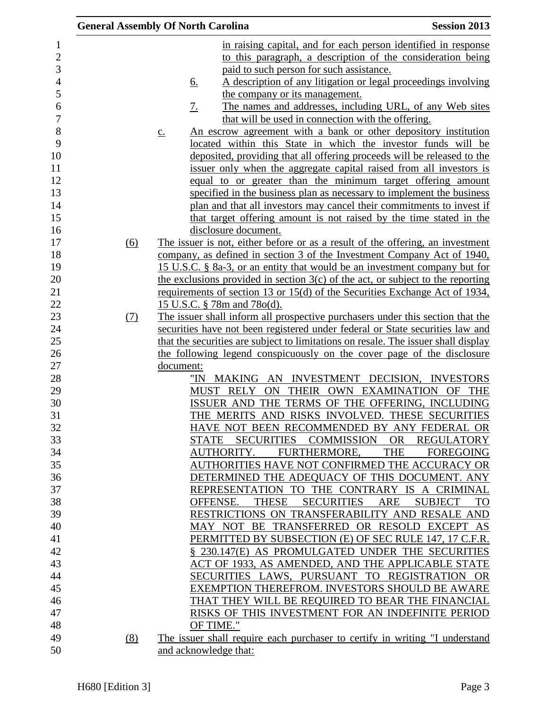|     | <b>General Assembly Of North Carolina</b>                                            | <b>Session 2013</b>         |
|-----|--------------------------------------------------------------------------------------|-----------------------------|
|     | in raising capital, and for each person identified in response                       |                             |
|     | to this paragraph, a description of the consideration being                          |                             |
|     | paid to such person for such assistance.                                             |                             |
|     | A description of any litigation or legal proceedings involving<br><u>6.</u>          |                             |
|     | the company or its management.                                                       |                             |
|     | The names and addresses, including URL, of any Web sites<br><u>7.</u>                |                             |
|     | that will be used in connection with the offering.                                   |                             |
|     | An escrow agreement with a bank or other depository institution<br>$\underline{C}$ . |                             |
|     | located within this State in which the investor funds will be                        |                             |
|     | deposited, providing that all offering proceeds will be released to the              |                             |
|     | issuer only when the aggregate capital raised from all investors is                  |                             |
|     | equal to or greater than the minimum target offering amount                          |                             |
|     | specified in the business plan as necessary to implement the business                |                             |
|     | plan and that all investors may cancel their commitments to invest if                |                             |
|     | that target offering amount is not raised by the time stated in the                  |                             |
|     | disclosure document.                                                                 |                             |
| (6) | The issuer is not, either before or as a result of the offering, an investment       |                             |
|     | company, as defined in section 3 of the Investment Company Act of 1940,              |                             |
|     | 15 U.S.C. § 8a-3, or an entity that would be an investment company but for           |                             |
|     | the exclusions provided in section $3(c)$ of the act, or subject to the reporting    |                             |
|     | <u>requirements of section 13 or 15(d) of the Securities Exchange Act of 1934,</u>   |                             |
|     | 15 U.S.C. § 78m and 78o(d).                                                          |                             |
| (7) | The issuer shall inform all prospective purchasers under this section that the       |                             |
|     | securities have not been registered under federal or State securities law and        |                             |
|     | that the securities are subject to limitations on resale. The issuer shall display   |                             |
|     | the following legend conspicuously on the cover page of the disclosure               |                             |
|     | document:                                                                            |                             |
|     | "IN MAKING AN INVESTMENT DECISION, INVESTORS                                         |                             |
|     | ON THEIR OWN EXAMINATION OF THE<br>MUST RELY                                         |                             |
|     | ISSUER AND THE TERMS OF THE OFFERING, INCLUDING                                      |                             |
|     | THE MERITS AND RISKS INVOLVED. THESE SECURITIES                                      |                             |
|     | HAVE NOT BEEN RECOMMENDED BY ANY FEDERAL OR                                          |                             |
|     | <b>SECURITIES</b><br>COMMISSION<br><b>STATE</b>                                      | OR<br><b>REGULATORY</b>     |
|     | FURTHERMORE,<br>AUTHORITY.                                                           | THE<br><b>FOREGOING</b>     |
|     | AUTHORITIES HAVE NOT CONFIRMED THE ACCURACY OR                                       |                             |
|     | DETERMINED THE ADEQUACY OF THIS DOCUMENT. ANY                                        |                             |
|     | REPRESENTATION TO THE CONTRARY IS A CRIMINAL                                         |                             |
|     | OFFENSE.<br><b>THESE</b><br><b>SECURITIES</b><br>ARE                                 | <b>SUBJECT</b><br><b>TO</b> |
|     | RESTRICTIONS ON TRANSFERABILITY AND RESALE AND                                       |                             |
|     | MAY NOT BE TRANSFERRED OR RESOLD EXCEPT AS                                           |                             |
|     | PERMITTED BY SUBSECTION (E) OF SEC RULE 147, 17 C.F.R.                               |                             |
|     | § 230.147(E) AS PROMULGATED UNDER THE SECURITIES                                     |                             |
|     | ACT OF 1933, AS AMENDED, AND THE APPLICABLE STATE                                    |                             |
|     | SECURITIES LAWS, PURSUANT TO REGISTRATION OR                                         |                             |
|     | EXEMPTION THEREFROM. INVESTORS SHOULD BE AWARE                                       |                             |
|     | THAT THEY WILL BE REQUIRED TO BEAR THE FINANCIAL                                     |                             |
|     | RISKS OF THIS INVESTMENT FOR AN INDEFINITE PERIOD                                    |                             |
|     | OF TIME."                                                                            |                             |
| (8) | The issuer shall require each purchaser to certify in writing "I understand          |                             |
|     | and acknowledge that:                                                                |                             |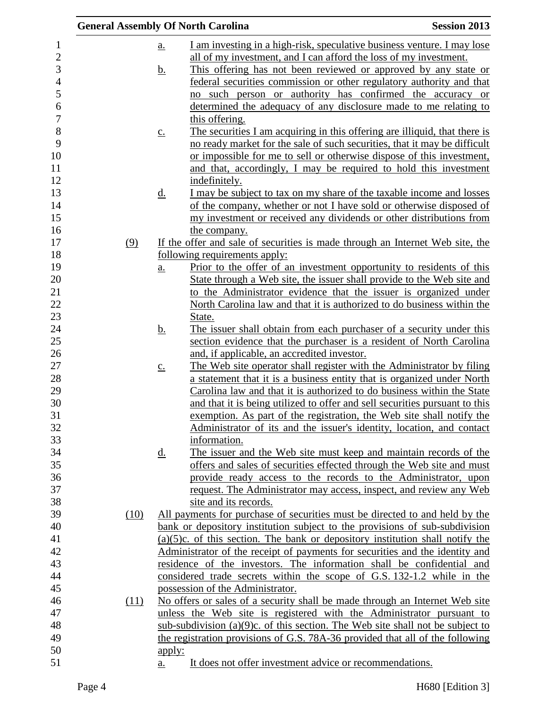|     |      | <b>General Assembly Of North Carolina</b>                                                       | <b>Session 2013</b> |
|-----|------|-------------------------------------------------------------------------------------------------|---------------------|
|     |      | I am investing in a high-risk, speculative business venture. I may lose<br><u>a.</u>            |                     |
|     |      | all of my investment, and I can afford the loss of my investment.                               |                     |
|     |      | This offering has not been reviewed or approved by any state or<br><u>b.</u>                    |                     |
|     |      | federal securities commission or other regulatory authority and that                            |                     |
|     |      | such person or authority has confirmed the accuracy or<br>no                                    |                     |
|     |      | determined the adequacy of any disclosure made to me relating to                                |                     |
|     |      | this offering.                                                                                  |                     |
|     |      | The securities I am acquiring in this offering are illiquid, that there is<br>$\underline{c}$ . |                     |
|     |      | no ready market for the sale of such securities, that it may be difficult                       |                     |
|     |      | or impossible for me to sell or otherwise dispose of this investment,                           |                     |
|     |      | and that, accordingly, I may be required to hold this investment                                |                     |
|     |      | indefinitely.                                                                                   |                     |
|     |      | I may be subject to tax on my share of the taxable income and losses<br><u>d.</u>               |                     |
|     |      | of the company, whether or not I have sold or otherwise disposed of                             |                     |
|     |      | my investment or received any dividends or other distributions from                             |                     |
|     |      | the company.                                                                                    |                     |
| (9) |      | If the offer and sale of securities is made through an Internet Web site, the                   |                     |
|     |      | following requirements apply:                                                                   |                     |
|     |      | Prior to the offer of an investment opportunity to residents of this<br>$\underline{a}$ .       |                     |
|     |      | State through a Web site, the issuer shall provide to the Web site and                          |                     |
|     |      | to the Administrator evidence that the issuer is organized under                                |                     |
|     |      | North Carolina law and that it is authorized to do business within the                          |                     |
|     |      | <u>State.</u>                                                                                   |                     |
|     |      | The issuer shall obtain from each purchaser of a security under this<br><u>b.</u>               |                     |
|     |      | section evidence that the purchaser is a resident of North Carolina                             |                     |
|     |      | and, if applicable, an accredited investor.                                                     |                     |
|     |      | The Web site operator shall register with the Administrator by filing<br>$\underline{c}$ .      |                     |
|     |      | a statement that it is a business entity that is organized under North                          |                     |
|     |      | Carolina law and that it is authorized to do business within the State                          |                     |
|     |      | and that it is being utilized to offer and sell securities pursuant to this                     |                     |
|     |      | exemption. As part of the registration, the Web site shall notify the                           |                     |
|     |      | Administrator of its and the issuer's identity, location, and contact                           |                     |
|     |      | information.                                                                                    |                     |
|     |      | The issuer and the Web site must keep and maintain records of the<br><u>d.</u>                  |                     |
|     |      | offers and sales of securities effected through the Web site and must                           |                     |
|     |      | provide ready access to the records to the Administrator, upon                                  |                     |
|     |      | request. The Administrator may access, inspect, and review any Web                              |                     |
|     |      | site and its records.                                                                           |                     |
|     | (10) | All payments for purchase of securities must be directed to and held by the                     |                     |
|     |      | bank or depository institution subject to the provisions of sub-subdivision                     |                     |
|     |      | $(a)(5)c$ . of this section. The bank or depository institution shall notify the                |                     |
|     |      | Administrator of the receipt of payments for securities and the identity and                    |                     |
|     |      | residence of the investors. The information shall be confidential and                           |                     |
|     |      | considered trade secrets within the scope of G.S. 132-1.2 while in the                          |                     |
|     |      | possession of the Administrator.                                                                |                     |
|     | (11) | No offers or sales of a security shall be made through an Internet Web site                     |                     |
|     |      | unless the Web site is registered with the Administrator pursuant to                            |                     |
|     |      | sub-subdivision $(a)(9)c$ . of this section. The Web site shall not be subject to               |                     |
|     |      | the registration provisions of G.S. 78A-36 provided that all of the following                   |                     |
|     |      | <u>apply:</u><br>It does not offer investment advice or recommendations.                        |                     |
|     |      | a.                                                                                              |                     |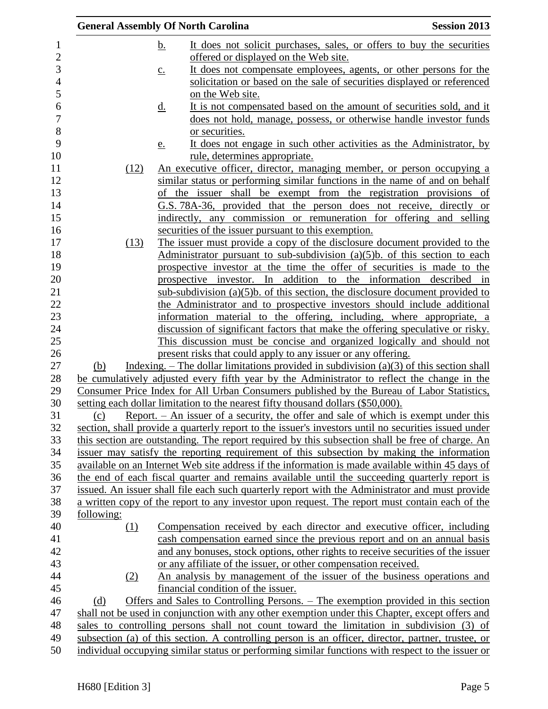|            |                   | <b>General Assembly Of North Carolina</b>                                                                    | <b>Session 2013</b> |
|------------|-------------------|--------------------------------------------------------------------------------------------------------------|---------------------|
|            | <u>b.</u>         | It does not solicit purchases, sales, or offers to buy the securities                                        |                     |
|            |                   | offered or displayed on the Web site.                                                                        |                     |
|            | $\underline{c}$ . | It does not compensate employees, agents, or other persons for the                                           |                     |
|            |                   | solicitation or based on the sale of securities displayed or referenced                                      |                     |
|            |                   | on the Web site.                                                                                             |                     |
|            | <u>d.</u>         | It is not compensated based on the amount of securities sold, and it                                         |                     |
|            |                   | does not hold, manage, possess, or otherwise handle investor funds                                           |                     |
|            |                   | or securities.                                                                                               |                     |
|            | e.                | It does not engage in such other activities as the Administrator, by                                         |                     |
|            |                   | rule, determines appropriate.                                                                                |                     |
| (12)       |                   | <u>An executive officer, director, managing member, or person occupying a</u>                                |                     |
|            |                   | similar status or performing similar functions in the name of and on behalf                                  |                     |
|            |                   | of the issuer shall be exempt from the registration provisions of                                            |                     |
|            |                   | G.S. 78A-36, provided that the person does not receive, directly or                                          |                     |
|            |                   | indirectly, any commission or remuneration for offering and selling                                          |                     |
|            |                   | securities of the issuer pursuant to this exemption.                                                         |                     |
| (13)       |                   | The issuer must provide a copy of the disclosure document provided to the                                    |                     |
|            |                   | Administrator pursuant to sub-subdivision $(a)(5)b$ . of this section to each                                |                     |
|            |                   | prospective investor at the time the offer of securities is made to the                                      |                     |
|            |                   | prospective investor. In addition to the information described in                                            |                     |
|            |                   | sub-subdivision $(a)(5)b$ . of this section, the disclosure document provided to                             |                     |
|            |                   | the Administrator and to prospective investors should include additional                                     |                     |
|            |                   | information material to the offering, including, where appropriate, a                                        |                     |
|            |                   | discussion of significant factors that make the offering speculative or risky.                               |                     |
|            |                   | This discussion must be concise and organized logically and should not                                       |                     |
|            |                   | present risks that could apply to any issuer or any offering.                                                |                     |
| (b)        |                   | Indexing. – The dollar limitations provided in subdivision (a)(3) of this section shall                      |                     |
|            |                   | be cumulatively adjusted every fifth year by the Administrator to reflect the change in the                  |                     |
|            |                   | Consumer Price Index for All Urban Consumers published by the Bureau of Labor Statistics,                    |                     |
|            |                   | setting each dollar limitation to the nearest fifty thousand dollars (\$50,000).                             |                     |
| (c)        |                   | Report. $-$ An issuer of a security, the offer and sale of which is exempt under this                        |                     |
|            |                   | section, shall provide a quarterly report to the issuer's investors until no securities issued under         |                     |
|            |                   | this section are outstanding. The report required by this subsection shall be free of charge. An             |                     |
|            |                   | issuer may satisfy the reporting requirement of this subsection by making the information                    |                     |
|            |                   | available on an Internet Web site address if the information is made available within 45 days of             |                     |
|            |                   | the end of each fiscal quarter and remains available until the succeeding quarterly report is                |                     |
|            |                   | issued. An issuer shall file each such quarterly report with the Administrator and must provide              |                     |
|            |                   | a written copy of the report to any investor upon request. The report must contain each of the               |                     |
| following: |                   | Compensation received by each director and executive officer, including                                      |                     |
| (1)        |                   | cash compensation earned since the previous report and on an annual basis                                    |                     |
|            |                   |                                                                                                              |                     |
|            |                   | and any bonuses, stock options, other rights to receive securities of the issuer                             |                     |
|            |                   | or any affiliate of the issuer, or other compensation received.                                              |                     |
| (2)        |                   | An analysis by management of the issuer of the business operations and<br>financial condition of the issuer. |                     |
| (d)        |                   | Offers and Sales to Controlling Persons. – The exemption provided in this section                            |                     |
|            |                   | shall not be used in conjunction with any other exemption under this Chapter, except offers and              |                     |
|            |                   | sales to controlling persons shall not count toward the limitation in subdivision (3) of                     |                     |
|            |                   | subsection (a) of this section. A controlling person is an officer, director, partner, trustee, or           |                     |
|            |                   | individual occupying similar status or performing similar functions with respect to the issuer or            |                     |
|            |                   |                                                                                                              |                     |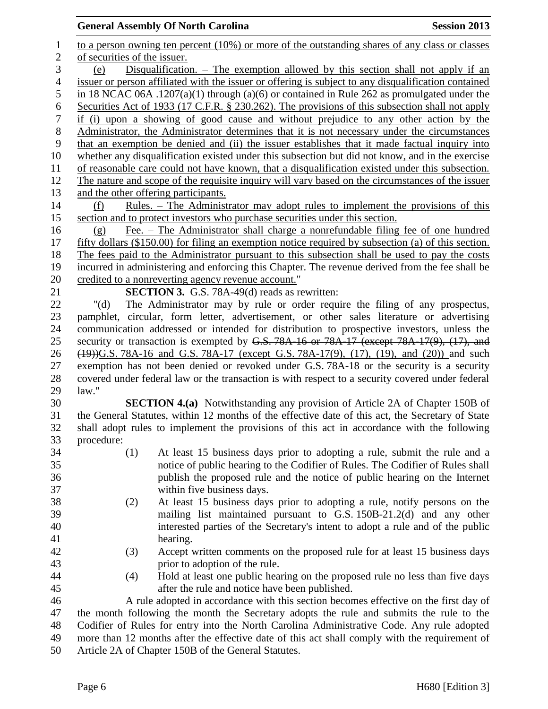## **General Assembly Of North Carolina Session 2013**

| $\mathbf{1}$   | to a person owning ten percent $(10\%)$ or more of the outstanding shares of any class or classes    |
|----------------|------------------------------------------------------------------------------------------------------|
| $\overline{2}$ | of securities of the issuer.                                                                         |
| $\mathfrak{Z}$ | Disqualification. $-$ The exemption allowed by this section shall not apply if an<br>(e)             |
| $\overline{4}$ | issuer or person affiliated with the issuer or offering is subject to any disqualification contained |
| 5              | in 18 NCAC 06A .1207(a)(1) through (a)(6) or contained in Rule 262 as promulgated under the          |
| 6              | Securities Act of 1933 (17 C.F.R. § 230.262). The provisions of this subsection shall not apply      |
| $\tau$         | if (i) upon a showing of good cause and without prejudice to any other action by the                 |
| 8              | Administrator, the Administrator determines that it is not necessary under the circumstances         |
| 9              | that an exemption be denied and (ii) the issuer establishes that it made factual inquiry into        |
| 10             | whether any disqualification existed under this subsection but did not know, and in the exercise     |
| 11             | of reasonable care could not have known, that a disqualification existed under this subsection.      |
| 12             | The nature and scope of the requisite inquiry will vary based on the circumstances of the issuer     |
| 13             | and the other offering participants.                                                                 |
| 14             | <u>Rules. – The Administrator may adopt rules to implement the provisions of this</u><br>(f)         |
| 15             | section and to protect investors who purchase securities under this section.                         |
| 16             | Fee. – The Administrator shall charge a nonrefundable filing fee of one hundred<br>(g)               |
| 17             | fifty dollars (\$150.00) for filing an exemption notice required by subsection (a) of this section.  |
| 18             | The fees paid to the Administrator pursuant to this subsection shall be used to pay the costs        |
| 19             | incurred in administering and enforcing this Chapter. The revenue derived from the fee shall be      |
| 20             | credited to a nonreverting agency revenue account."                                                  |
| 21             | <b>SECTION 3.</b> G.S. 78A-49(d) reads as rewritten:                                                 |
| 22             | The Administrator may by rule or order require the filing of any prospectus,<br>" $(d)$              |
| 23             | pamphlet, circular, form letter, advertisement, or other sales literature or advertising             |
| 24             | communication addressed or intended for distribution to prospective investors, unless the            |
| 25             | security or transaction is exempted by G.S. 78A-16 or 78A-17 (except 78A-17(9), (17), and            |
| 26             | $(19)$ )G.S. 78A-16 and G.S. 78A-17 (except G.S. 78A-17(9), (17), (19), and (20)) and such           |
| 27             | exemption has not been denied or revoked under G.S. 78A-18 or the security is a security             |
| 28             | covered under federal law or the transaction is with respect to a security covered under federal     |
| 29             | law."                                                                                                |
| 30             | <b>SECTION 4.(a)</b> Notwithstanding any provision of Article 2A of Chapter 150B of                  |
| 31             | the General Statutes, within 12 months of the effective date of this act, the Secretary of State     |
| 32             | shall adopt rules to implement the provisions of this act in accordance with the following           |
| 33             | procedure:                                                                                           |
| 34             | At least 15 business days prior to adopting a rule, submit the rule and a<br>(1)                     |
| 35             | notice of public hearing to the Codifier of Rules. The Codifier of Rules shall                       |
| 36             | publish the proposed rule and the notice of public hearing on the Internet                           |
| 37             | within five business days.                                                                           |
| 38             | At least 15 business days prior to adopting a rule, notify persons on the<br>(2)                     |
| 39             | mailing list maintained pursuant to G.S. 150B-21.2(d) and any other                                  |
| 40             | interested parties of the Secretary's intent to adopt a rule and of the public                       |
| 41             | hearing.                                                                                             |
| 42             | Accept written comments on the proposed rule for at least 15 business days<br>(3)                    |
| 43             | prior to adoption of the rule.                                                                       |
| 44             | Hold at least one public hearing on the proposed rule no less than five days<br>(4)                  |
| 45             | after the rule and notice have been published.                                                       |
| 46             | A rule adopted in accordance with this section becomes effective on the first day of                 |
| 47             | the month following the month the Secretary adopts the rule and submits the rule to the              |
| 48             | Codifier of Rules for entry into the North Carolina Administrative Code. Any rule adopted            |
| 49             | more than 12 months after the effective date of this act shall comply with the requirement of        |
| 50             | Article 2A of Chapter 150B of the General Statutes.                                                  |